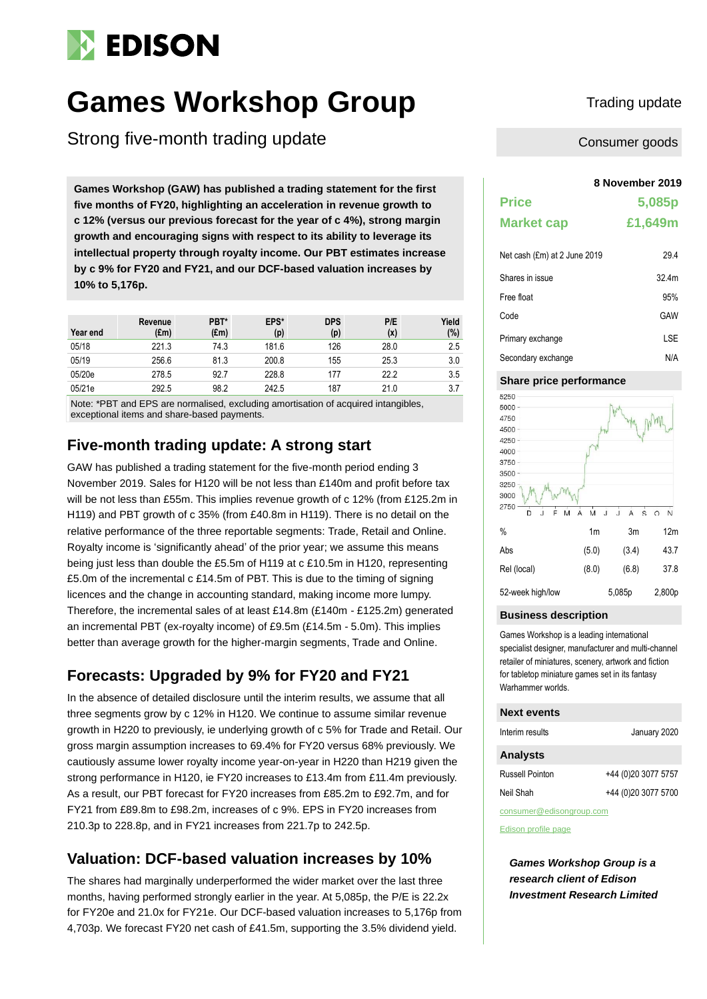# **EDISON**

# **Games Workshop Group** Trading update

Strong five-month trading update

**8 November 2019 Games Workshop (GAW) has published a trading statement for the first five months of FY20, highlighting an acceleration in revenue growth to c 12% (versus our previous forecast for the year of c 4%), strong margin growth and encouraging signs with respect to its ability to leverage its intellectual property through royalty income. Our PBT estimates increase by c 9% for FY20 and FY21, and our DCF-based valuation increases by 10% to 5,176p.**

| Year end | Revenue<br>(£m) | PBT*<br>$(\text{Em})$ | EPS*<br>(p) | <b>DPS</b><br>(p) | P/E<br>(x) | Yield<br>$(\%)$ |
|----------|-----------------|-----------------------|-------------|-------------------|------------|-----------------|
| 05/18    | 221.3           | 74.3                  | 181.6       | 126               | 28.0       | 2.5             |
| 05/19    | 256.6           | 81.3                  | 200.8       | 155               | 25.3       | 3.0             |
| 05/20e   | 278.5           | 92.7                  | 228.8       | 177               | 22.2       | 3.5             |
| 05/21e   | 292.5           | 98.2                  | 242.5       | 187               | 21.0       | 3.7             |

Note: \*PBT and EPS are normalised, excluding amortisation of acquired intangibles, exceptional items and share-based payments.

## **Five-month trading update: A strong start**

GAW has published a trading statement for the five-month period ending 3 November 2019. Sales for H120 will be not less than £140m and profit before tax will be not less than £55m. This implies revenue growth of c 12% (from £125.2m in H119) and PBT growth of c 35% (from £40.8m in H119). There is no detail on the relative performance of the three reportable segments: Trade, Retail and Online. Royalty income is 'significantly ahead' of the prior year; we assume this means being just less than double the £5.5m of H119 at c £10.5m in H120, representing £5.0m of the incremental c £14.5m of PBT. This is due to the timing of signing licences and the change in accounting standard, making income more lumpy. Therefore, the incremental sales of at least £14.8m (£140m - £125.2m) generated an incremental PBT (ex-royalty income) of £9.5m (£14.5m - 5.0m). This implies better than average growth for the higher-margin segments, Trade and Online.

# **Forecasts: Upgraded by 9% for FY20 and FY21**

In the absence of detailed disclosure until the interim results, we assume that all three segments grow by c 12% in H120. We continue to assume similar revenue growth in H220 to previously, ie underlying growth of c 5% for Trade and Retail. Our gross margin assumption increases to 69.4% for FY20 versus 68% previously. We cautiously assume lower royalty income year-on-year in H220 than H219 given the strong performance in H120, ie FY20 increases to £13.4m from £11.4m previously. As a result, our PBT forecast for FY20 increases from £85.2m to £92.7m, and for FY21 from £89.8m to £98.2m, increases of c 9%. EPS in FY20 increases from 210.3p to 228.8p, and in FY21 increases from 221.7p to 242.5p.

# **Valuation: DCF-based valuation increases by 10%**

The shares had marginally underperformed the wider market over the last three months, having performed strongly earlier in the year. At 5,085p, the P/E is 22.2x for FY20e and 21.0x for FY21e. Our DCF-based valuation increases to 5,176p from 4,703p. We forecast FY20 net cash of £41.5m, supporting the 3.5% dividend yield.

Consumer goods

| <b>Price</b>                 | 5,085p            |
|------------------------------|-------------------|
| <b>Market cap</b>            | £1,649m           |
| Net cash (£m) at 2 June 2019 | 294               |
| Shares in issue              | 32.4 <sub>m</sub> |

| Free float         | 95% |
|--------------------|-----|
| Code               | GAW |
| Primary exchange   | LSE |
| Secondary exchange | N/A |

### **Share price performance**



#### **Business description**

Games Workshop is a leading international specialist designer, manufacturer and multi-channel retailer of miniatures, scenery, artwork and fiction for tabletop miniature games set in its fantasy Warhammer worlds.

#### **Next events**

| Interim results          | January 2020        |
|--------------------------|---------------------|
| <b>Analysts</b>          |                     |
| Russell Pointon          | +44 (0)20 3077 5757 |
| Neil Shah                | +44 (0)20 3077 5700 |
| consumer@edisonaroup.com |                     |

[Edison profile page](https://www.edisongroup.com/company/games-workshop-group/2876/)

*Games Workshop Group is a research client of Edison Investment Research Limited*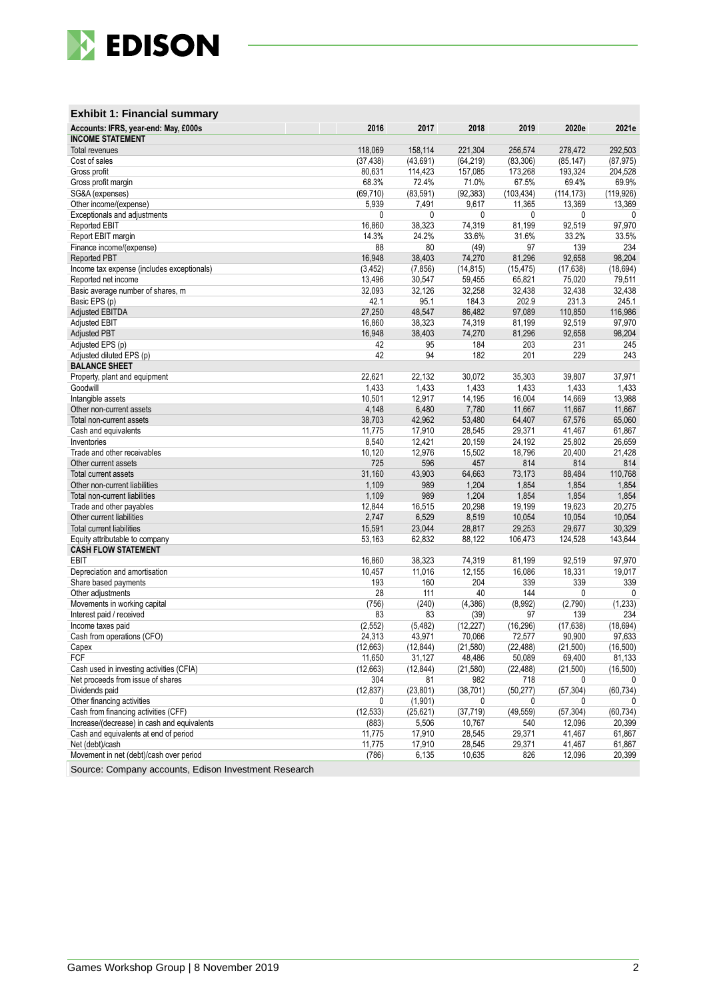

### **Exhibit 1: Financial summary**

| Accounts: IFRS, year-end: May, £000s<br><b>INCOME STATEMENT</b>                     | 2016                 | 2017            | 2018                | 2019             | 2020e               | 2021e              |
|-------------------------------------------------------------------------------------|----------------------|-----------------|---------------------|------------------|---------------------|--------------------|
|                                                                                     |                      | 158,114         | 221,304             | 256,574          | 278,472             | 292,503            |
| <b>Total revenues</b>                                                               | 118,069<br>(37, 438) | (43, 691)       | (64, 219)           | (83, 306)        | (85, 147)           | (87, 975)          |
| Cost of sales                                                                       |                      |                 |                     | 173,268          |                     |                    |
| Gross profit                                                                        | 80,631<br>68.3%      | 114,423         | 157,085             |                  | 193,324             | 204,528            |
| Gross profit margin                                                                 |                      | 72.4%           | 71.0%               | 67.5%            | 69.4%               | 69.9%              |
| SG&A (expenses)                                                                     | (69, 710)            | (83, 591)       | (92, 383)           | (103, 434)       | (114, 173)          | (119, 926)         |
| Other income/(expense)                                                              | 5,939<br>0           | 7,491           | 9,617<br>0          | 11,365           | 13,369              | 13,369             |
| Exceptionals and adjustments<br>Reported EBIT                                       | 16,860               | 0<br>38,323     |                     | 0<br>81,199      | 0<br>92,519         | 0<br>97,970        |
|                                                                                     | 14.3%                | 24.2%           | 74,319              |                  |                     |                    |
| Report EBIT margin                                                                  |                      |                 | 33.6%               | 31.6%            | 33.2%               | 33.5%              |
| Finance income/(expense)                                                            | 88                   | 80              | (49)                | 97               | 139                 | 234<br>98,204      |
| Reported PBT                                                                        | 16,948               | 38,403          | 74,270              | 81,296           | 92,658              |                    |
| Income tax expense (includes exceptionals)                                          | (3, 452)             | (7, 856)        | (14, 815)           | (15, 475)        | (17, 638)           | (18, 694)          |
| Reported net income                                                                 | 13,496               | 30,547          | 59,455              | 65,821           | 75,020              | 79,511             |
| Basic average number of shares, m                                                   | 32,093               | 32,126          | 32,258              | 32,438<br>202.9  | 32,438              | 32,438             |
| Basic EPS (p)                                                                       | 42.1                 | 95.1            | 184.3               |                  | 231.3               | 245.1              |
| <b>Adjusted EBITDA</b>                                                              | 27,250               | 48,547          | 86,482              | 97,089           | 110,850             | 116,986            |
| <b>Adjusted EBIT</b>                                                                | 16,860               | 38,323          | 74,319              | 81,199           | 92,519              | 97,970             |
| <b>Adjusted PBT</b>                                                                 | 16,948               | 38,403          | 74,270              | 81,296           | 92,658              | 98,204             |
| Adjusted EPS (p)                                                                    | 42                   | 95<br>94        | 184                 | 203              | 231                 | 245                |
| Adjusted diluted EPS (p)<br><b>BALANCE SHEET</b>                                    | 42                   |                 | 182                 | 201              | 229                 | 243                |
| Property, plant and equipment                                                       | 22,621               | 22,132          | 30,072              | 35,303           | 39,807              | 37,971             |
| Goodwill                                                                            | 1,433                | 1,433           | 1,433               | 1,433            | 1,433               | 1,433              |
| Intangible assets                                                                   | 10,501               | 12,917          | 14,195              | 16,004           | 14,669              | 13,988             |
| Other non-current assets                                                            | 4,148                | 6,480           | 7,780               | 11,667           | 11,667              | 11,667             |
| Total non-current assets                                                            | 38,703               | 42,962          | 53,480              | 64,407           | 67,576              | 65,060             |
| Cash and equivalents                                                                | 11,775               | 17,910          | 28,545              | 29,371           | 41,467              | 61,867             |
| Inventories                                                                         | 8,540                | 12,421          | 20,159              | 24,192           | 25,802              | 26,659             |
| Trade and other receivables                                                         | 10,120               | 12,976          | 15,502              | 18,796           | 20,400              | 21,428             |
| Other current assets                                                                | 725                  | 596             | 457                 | 814              | 814                 | 814                |
| <b>Total current assets</b>                                                         | 31,160               | 43,903          | 64,663              | 73,173           | 88,484              | 110,768            |
| Other non-current liabilities                                                       | 1,109                | 989             | 1,204               | 1,854            | 1,854               | 1,854              |
| Total non-current liabilities                                                       | 1,109                | 989             | 1,204               | 1,854            | 1,854               | 1,854              |
| Trade and other payables                                                            | 12,844               | 16,515          | 20,298              | 19,199           | 19,623              | 20,275             |
| Other current liabilities                                                           | 2,747                | 6,529           | 8,519               | 10,054           | 10,054              | 10,054             |
| <b>Total current liabilities</b>                                                    | 15,591               | 23,044          | 28,817              | 29,253           | 29,677              | 30,329             |
| Equity attributable to company                                                      | 53,163               | 62,832          | 88,122              | 106,473          | 124,528             | 143,644            |
| <b>CASH FLOW STATEMENT</b>                                                          |                      |                 |                     |                  |                     |                    |
| EBIT                                                                                | 16,860               | 38,323          | 74,319              | 81,199           | 92,519              | 97,970             |
| Depreciation and amortisation                                                       | 10,457               | 11,016          | 12,155              | 16,086           | 18,331              | 19,017             |
| Share based payments                                                                | 193                  | 160             | 204                 | 339              | 339                 | 339                |
| Other adjustments                                                                   | 28                   | 111             | 40                  | 144              | 0                   | 0                  |
| Movements in working capital                                                        | (756)                | (240)           | (4, 386)            | (8,992)          | (2,790)             | (1, 233)           |
| Interest paid / received                                                            | 83                   | 83              | (39)                | 97               | 139                 | 234                |
| Income taxes paid                                                                   | (2, 552)             | (5, 482)        | (12, 227)           | (16, 296)        | (17, 638)           | (18, 694)          |
| Cash from operations (CFO)                                                          | 24,313               | 43,971          | 70,066              | 72,577           | 90,900              | 97,633             |
| Capex                                                                               | (12, 663)            | (12, 844)       | (21, 580)           | (22, 488)        | (21,500)            | (16, 500)          |
| FCF                                                                                 | 11,650               | 31,127          | 48,486              | 50,089           | 69,400              | 81,133             |
| Cash used in investing activities (CFIA)                                            | (12, 663)            | (12, 844)       | (21, 580)           | (22, 488)        | (21,500)            | (16, 500)          |
| Net proceeds from issue of shares                                                   | 304                  | 81              | 982                 | 718              | 0                   | 0                  |
| Dividends paid                                                                      | (12, 837)            | (23, 801)       | (38, 701)           | (50, 277)        | (57, 304)           | (60, 734)          |
| Other financing activities                                                          | 0                    | (1,901)         | 0                   | 0                | 0                   | 0                  |
| Cash from financing activities (CFF)<br>Increase/(decrease) in cash and equivalents | (12, 533)            | (25, 621)       | (37, 719)<br>10,767 | (49, 559)<br>540 | (57, 304)<br>12,096 | (60,734)<br>20,399 |
| Cash and equivalents at end of period                                               | (883)<br>11,775      | 5,506<br>17,910 | 28,545              |                  |                     |                    |
| Net (debt)/cash                                                                     | 11,775               | 17,910          | 28,545              | 29,371<br>29,371 | 41,467<br>41,467    | 61,867<br>61,867   |
| Movement in net (debt)/cash over period                                             | (786)                | 6,135           | 10,635              | 826              | 12,096              | 20,399             |
|                                                                                     |                      |                 |                     |                  |                     |                    |

Source: Company accounts, Edison Investment Research